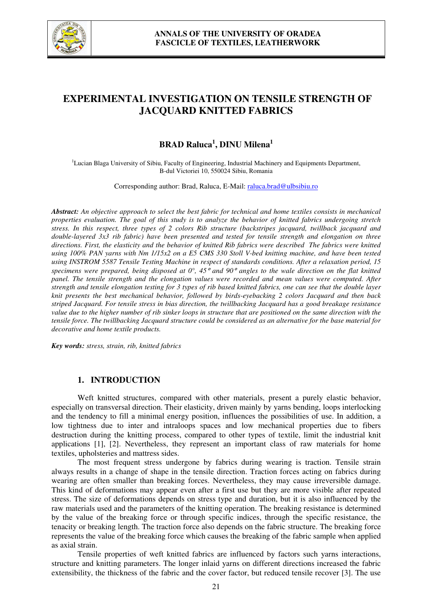

# **EXPERIMENTAL INVESTIGATION ON TENSILE STRENGTH OF JACQUARD KNITTED FABRICS**

## **BRAD Raluca<sup>1</sup> , DINU Milena<sup>1</sup>**

<sup>1</sup>Lucian Blaga University of Sibiu, Faculty of Engineering, Industrial Machinery and Equipments Department, B-dul Victoriei 10, 550024 Sibiu, Romania

Corresponding author: Brad, Raluca, E-Mail: raluca.brad@ulbsibiu.ro

*Abstract: An objective approach to select the best fabric for technical and home textiles consists in mechanical properties evaluation. The goal of this study is to analyze the behavior of knitted fabrics undergoing stretch stress. In this respect, three types of 2 colors Rib structure (backstripes jacquard, twillback jacquard and double-layered 3x3 rib fabric) have been presented and tested for tensile strength and elongation on three directions. First, the elasticity and the behavior of knitted Rib fabrics were described The fabrics were knitted using 100% PAN yarns with Nm 1/15x2 on a E5 CMS 330 Stoll V-bed knitting machine, and have been tested using INSTROM 5587 Tensile Testing Machine in respect of standards conditions. After a relaxation period, 15 specimens were prepared, being disposed at 0°, 45*° *and 90*° *angles to the wale direction on the flat knitted panel. The tensile strength and the elongation values were recorded and mean values were computed. After strength and tensile elongation testing for 3 types of rib based knitted fabrics, one can see that the double layer knit presents the best mechanical behavior, followed by birds-eyebacking 2 colors Jacquard and then back striped Jacquard. For tensile stress in bias direction, the twillbacking Jacquard has a good breakage resistance value due to the higher number of rib sinker loops in structure that are positioned on the same direction with the tensile force. The twillbacking Jacquard structure could be considered as an alternative for the base material for decorative and home textile products.* 

*Key words: stress, strain, rib, knitted fabrics*

### **1. INTRODUCTION**

Weft knitted structures, compared with other materials, present a purely elastic behavior, especially on transversal direction. Their elasticity, driven mainly by yarns bending, loops interlocking and the tendency to fill a minimal energy position, influences the possibilities of use. In addition, a low tightness due to inter and intraloops spaces and low mechanical properties due to fibers destruction during the knitting process, compared to other types of textile, limit the industrial knit applications [1], [2]. Nevertheless, they represent an important class of raw materials for home textiles, upholsteries and mattress sides.

The most frequent stress undergone by fabrics during wearing is traction. Tensile strain always results in a change of shape in the tensile direction. Traction forces acting on fabrics during wearing are often smaller than breaking forces. Nevertheless, they may cause irreversible damage. This kind of deformations may appear even after a first use but they are more visible after repeated stress. The size of deformations depends on stress type and duration, but it is also influenced by the raw materials used and the parameters of the knitting operation. The breaking resistance is determined by the value of the breaking force or through specific indices, through the specific resistance, the tenacity or breaking length. The traction force also depends on the fabric structure. The breaking force represents the value of the breaking force which causes the breaking of the fabric sample when applied as axial strain.

Tensile properties of weft knitted fabrics are influenced by factors such yarns interactions, structure and knitting parameters. The longer inlaid yarns on different directions increased the fabric extensibility, the thickness of the fabric and the cover factor, but reduced tensile recover [3]. The use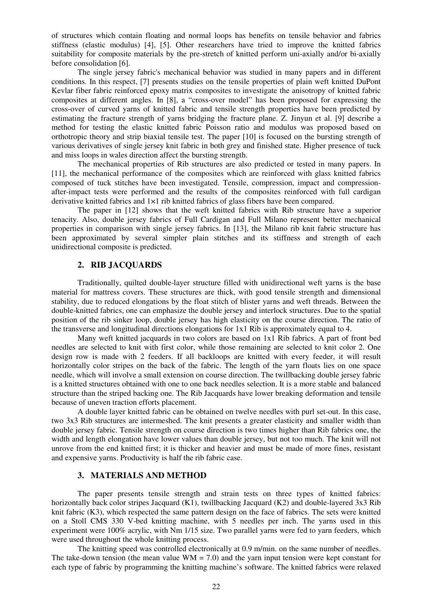of structures which contain floating and normal loops has benefits on tensile behavior and fabrics stiffness (elastic modulus) [4], [5]. Other researchers have tried to improve the knitted fabrics suitability for composite materials by the pre-stretch of knitted perform uni-axially and/or bi-axially before consolidation [6].

The single jersey fabric's mechanical behavior was studied in many papers and in different conditions. In this respect, [7] presents studies on the tensile properties of plain weft knitted DuPont Kevlar fiber fabric reinforced epoxy matrix composites to investigate the anisotropy of knitted fabric composites at different angles. In [8], a "cross-over model" has been proposed for expressing the cross-over of curved yarns of knitted fabric and tensile strength properties have been predicted by estimating the fracture strength of yarns bridging the fracture plane. Z. Jinyun et al. [9] describe a method for testing the elastic knitted fabric Poisson ratio and modulus was proposed based on orthotropic theory and strip biaxial tensile test. The paper [10] is focused on the bursting strength of various derivatives of single jersey knit fabric in both grey and finished state. Higher presence of tuck and miss loops in wales direction affect the bursting strength.

The mechanical properties of Rib structures are also predicted or tested in many papers. In [11], the mechanical performance of the composites which are reinforced with glass knitted fabrics composed of tuck stitches have been investigated. Tensile, compression, impact and compressionafter-impact tests were performed and the results of the composites reinforced with full cardigan derivative knitted fabrics and  $1\times1$  rib knitted fabrics of glass fibers have been compared.

The paper in [12] shows that the weft knitted fabrics with Rib structure have a superior tenacity. Also, double jersey fabrics of Full Cardigan and Full Milano represent better mechanical properties in comparison with single jersey fabrics. In [13], the Milano rib knit fabric structure has been approximated by several simpler plain stitches and its stiffness and strength of each unidirectional composite is predicted.

#### **2. RIB JACQUARDS**

Traditionally, quilted double-layer structure filled with unidirectional weft yarns is the base material for mattress covers. These structures are thick, with good tensile strength and dimensional stability, due to reduced elongations by the float stitch of blister yarns and weft threads. Between the double-knitted fabrics, one can emphasize the double jersey and interlock structures. Due to the spatial position of the rib sinker loop, double jersey has high elasticity on the course direction. The ratio of the transverse and longitudinal directions elongations for 1x1 Rib is approximately equal to 4.

Many weft knitted jacquards in two colors are based on 1x1 Rib fabrics. A part of front bed needles are selected to knit with first color, while those remaining are selected to knit color 2. One design row is made with 2 feeders. If all backloops are knitted with every feeder, it will result horizontally color stripes on the back of the fabric. The length of the yarn floats lies on one space needle, which will involve a small extension on course direction. The twillbacking double jersey fabric is a knitted structures obtained with one to one back needles selection. It is a more stable and balanced structure than the striped backing one. The Rib Jacquards have lower breaking deformation and tensile because of uneven traction efforts placement.

A double layer knitted fabric can be obtained on twelve needles with purl set-out. In this case, two 3x3 Rib structures are intermeshed. The knit presents a greater elasticity and smaller width than double jersey fabric. Tensile strength on course direction is two times higher than Rib fabrics one, the width and length elongation have lower values than double jersey, but not too much. The knit will not unrove from the end knitted first; it is thicker and heavier and must be made of more fines, resistant and expensive yarns. Productivity is half the rib fabric case.

#### **3. MATERIALS AND METHOD**

The paper presents tensile strength and strain tests on three types of knitted fabrics: horizontally back color stripes Jacquard (K1), twillbacking Jacquard (K2) and double-layered 3x3 Rib knit fabric (K3), which respected the same pattern design on the face of fabrics. The sets were knitted on a Stoll CMS 330 V-bed knitting machine, with 5 needles per inch. The yarns used in this experiment were 100% acrylic, with Nm 1/15 size. Two parallel yarns were fed to yarn feeders, which were used throughout the whole knitting process.

The knitting speed was controlled electronically at 0.9 m/min. on the same number of needles. The take-down tension (the mean value  $WM = 7.0$ ) and the yarn input tension were kept constant for each type of fabric by programming the knitting machine's software. The knitted fabrics were relaxed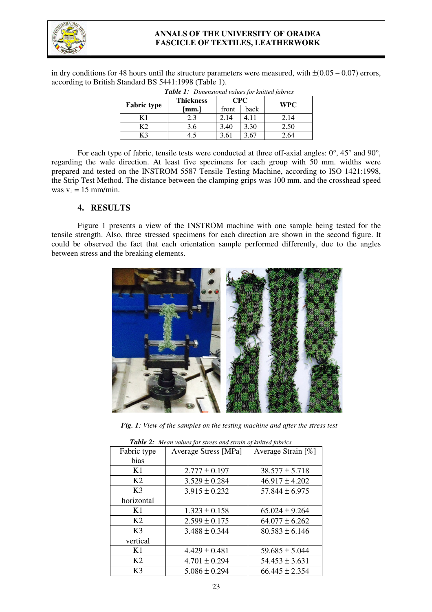

#### **ANNALS OF THE UNIVERSITY OF ORADEA FASCICLE OF TEXTILES, LEATHERWORK**

in dry conditions for 48 hours until the structure parameters were measured, with  $\pm(0.05 - 0.07)$  errors, according to British Standard BS 5441:1998 (Table 1).

|                    | <b>Thickness</b> | CPC   |      | <b>WPC</b> |  |
|--------------------|------------------|-------|------|------------|--|
| <b>Fabric type</b> | [mm.]            | front | back |            |  |
| K 1                | 2.3              | 2.14  | 4.11 | 2.14       |  |
|                    | 3.6              | 3.40  | 3.30 | 2.50       |  |
| ረ3                 | 1.5              | 3.61  | 3.67 | 2.64       |  |
|                    |                  |       |      |            |  |

*Table 1: Dimensional values for knitted fabrics* 

For each type of fabric, tensile tests were conducted at three off-axial angles: 0°, 45° and 90°, regarding the wale direction. At least five specimens for each group with 50 mm. widths were prepared and tested on the INSTROM 5587 Tensile Testing Machine, according to ISO 1421:1998, the Strip Test Method. The distance between the clamping grips was 100 mm. and the crosshead speed was  $v_1 = 15$  mm/min.

### **4. RESULTS**

Figure 1 presents a view of the INSTROM machine with one sample being tested for the tensile strength. Also, three stressed specimens for each direction are shown in the second figure. It could be observed the fact that each orientation sample performed differently, due to the angles between stress and the breaking elements.



*Fig. 1: View of the samples on the testing machine and after the stress test* 

| Fabric type    | <b>Average Stress [MPa]</b> | Average Strain [%] |  |  |  |
|----------------|-----------------------------|--------------------|--|--|--|
| bias           |                             |                    |  |  |  |
| K1             | $2.777 \pm 0.197$           | $38.577 \pm 5.718$ |  |  |  |
| K <sub>2</sub> | $3.529 \pm 0.284$           | $46.917 \pm 4.202$ |  |  |  |
| K <sub>3</sub> | $3.915 \pm 0.232$           | $57.844 \pm 6.975$ |  |  |  |
| horizontal     |                             |                    |  |  |  |
| K1             | $1.323 \pm 0.158$           | $65.024 \pm 9.264$ |  |  |  |
| K <sub>2</sub> | $2.599 \pm 0.175$           | $64.077 \pm 6.262$ |  |  |  |
| K <sub>3</sub> | $3.488 \pm 0.344$           | $80.583 \pm 6.146$ |  |  |  |
| vertical       |                             |                    |  |  |  |
| K1             | $4.429 \pm 0.481$           | $59.685 \pm 5.044$ |  |  |  |
| K <sub>2</sub> | $4.701 \pm 0.294$           | $54.453 \pm 3.631$ |  |  |  |
| K3             | $5.086 \pm 0.294$           | $66.445 \pm 2.354$ |  |  |  |

*Table 2: Mean values for stress and strain of knitted fabrics*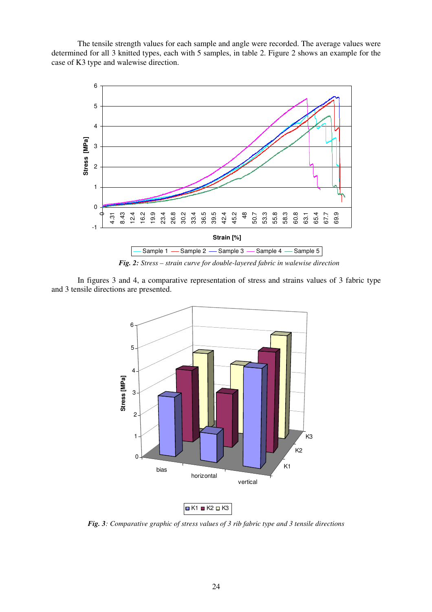The tensile strength values for each sample and angle were recorded. The average values were determined for all 3 knitted types, each with 5 samples, in table 2. Figure 2 shows an example for the case of K3 type and walewise direction.



*Fig. 2: Stress – strain curve for double-layered fabric in walewise direction* 

In figures 3 and 4, a comparative representation of stress and strains values of 3 fabric type and 3 tensile directions are presented.



*Fig. 3: Comparative graphic of stress values of 3 rib fabric type and 3 tensile directions*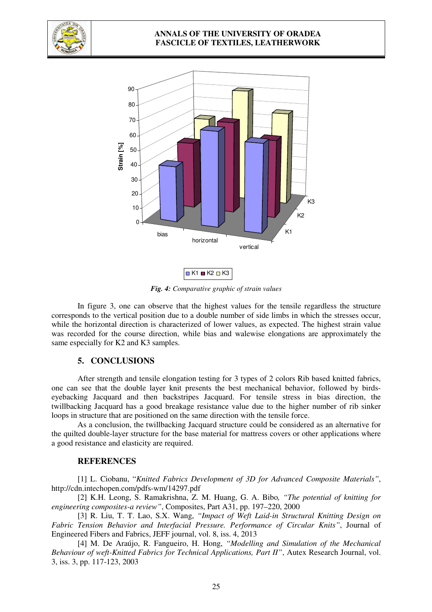

#### **ANNALS OF THE UNIVERSITY OF ORADEA FASCICLE OF TEXTILES, LEATHERWORK**





*Fig. 4: Comparative graphic of strain values* 

In figure 3, one can observe that the highest values for the tensile regardless the structure corresponds to the vertical position due to a double number of side limbs in which the stresses occur, while the horizontal direction is characterized of lower values, as expected. The highest strain value was recorded for the course direction, while bias and walewise elongations are approximately the same especially for K2 and K3 samples.

#### **5. CONCLUSIONS**

After strength and tensile elongation testing for 3 types of 2 colors Rib based knitted fabrics, one can see that the double layer knit presents the best mechanical behavior, followed by birdseyebacking Jacquard and then backstripes Jacquard. For tensile stress in bias direction, the twillbacking Jacquard has a good breakage resistance value due to the higher number of rib sinker loops in structure that are positioned on the same direction with the tensile force.

As a conclusion, the twillbacking Jacquard structure could be considered as an alternative for the quilted double-layer structure for the base material for mattress covers or other applications where a good resistance and elasticity are required.

#### **REFERENCES**

[1] L. Ciobanu, "*Knitted Fabrics Development of 3D for Advanced Composite Materials"*, http://cdn.intechopen.com/pdfs-wm/14297.pdf

[2] K.H. Leong, S. Ramakrishna, Z. M. Huang, G. A. Bibo*, "The potential of knitting for engineering composites-a review"*, Composites, Part A31, pp. 197–220, 2000

[3] R. Liu, T. T. Lao, S.X. Wang, *"Impact of Weft Laid-in Structural Knitting Design on Fabric Tension Behavior and Interfacial Pressure. Performance of Circular Knits"*, Journal of Engineered Fibers and Fabrics, JEFF journal, vol. 8, iss. 4, 2013

[4] M. De Araújo, R. Fangueiro, H. Hong, *"Modelling and Simulation of the Mechanical Behaviour of weft-Knitted Fabrics for Technical Applications, Part II"*, Autex Research Journal, vol. 3, iss. 3, pp. 117-123, 2003